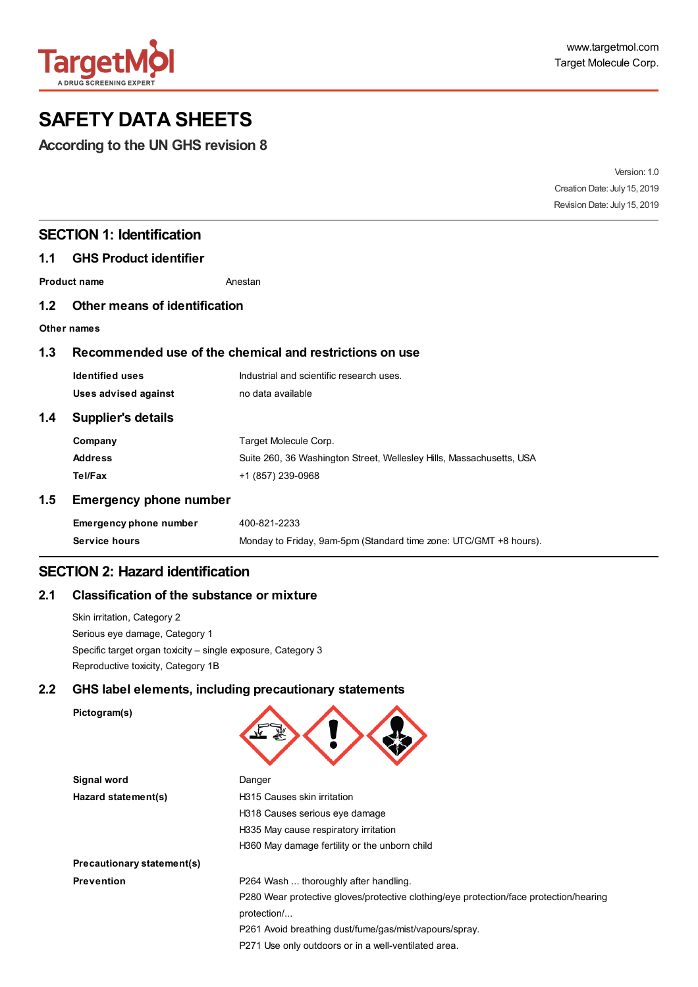

# **SAFETY DATA SHEETS**

**According to the UN GHS revision 8**

|     |                                                         | Version: 1.0                                                         |                              |
|-----|---------------------------------------------------------|----------------------------------------------------------------------|------------------------------|
|     |                                                         | Creation Date: July 15, 2019                                         |                              |
|     |                                                         |                                                                      | Revision Date: July 15, 2019 |
|     | <b>SECTION 1: Identification</b>                        |                                                                      |                              |
| 1.1 | <b>GHS Product identifier</b>                           |                                                                      |                              |
|     | <b>Product name</b>                                     | Anestan                                                              |                              |
| 1.2 | Other means of identification                           |                                                                      |                              |
|     | Other names                                             |                                                                      |                              |
| 1.3 | Recommended use of the chemical and restrictions on use |                                                                      |                              |
|     | <b>Identified uses</b>                                  | Industrial and scientific research uses.                             |                              |
|     | Uses advised against                                    | no data available                                                    |                              |
| 1.4 | <b>Supplier's details</b>                               |                                                                      |                              |
|     | Company                                                 | Target Molecule Corp.                                                |                              |
|     | <b>Address</b>                                          | Suite 260, 36 Washington Street, Wellesley Hills, Massachusetts, USA |                              |
|     | Tel/Fax                                                 | +1 (857) 239-0968                                                    |                              |
| 1.5 | <b>Emergency phone number</b>                           |                                                                      |                              |
|     | Emergency phone number                                  | 400-821-2233                                                         |                              |
|     | Service hours                                           | Monday to Friday, 9am-5pm (Standard time zone: UTC/GMT +8 hours).    |                              |

# **SECTION 2: Hazard identification**

#### **2.1 Classification of the substance or mixture**

Skin irritation, Category 2 Serious eye damage, Category 1 Specific target organ toxicity – single exposure, Category 3 Reproductive toxicity, Category 1B

#### **2.2 GHS label elements, including precautionary statements**

```
Pictogram(s)
```
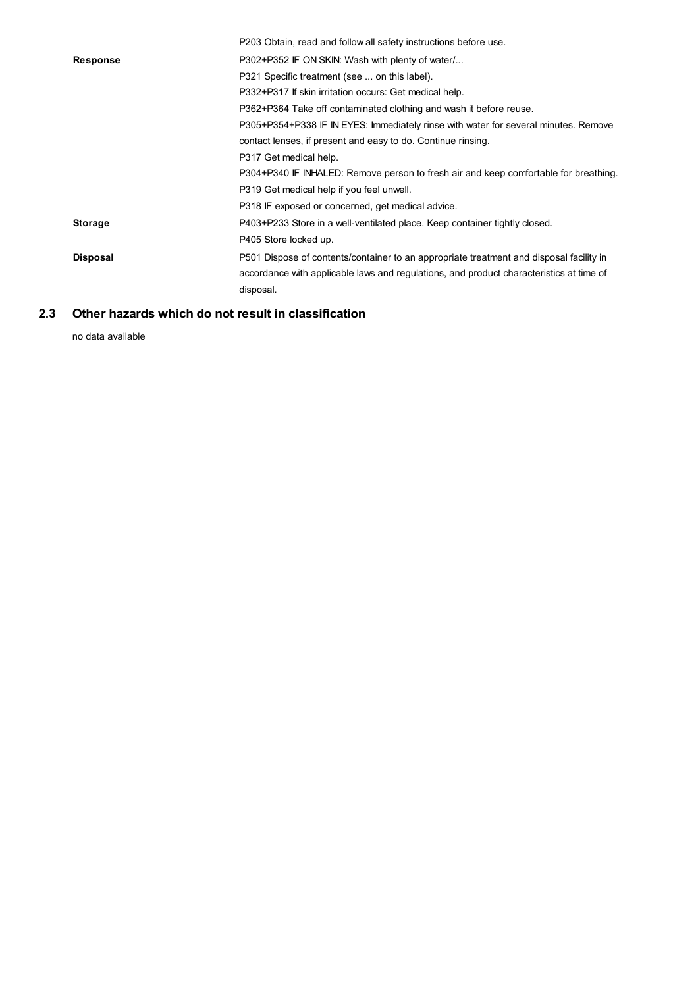|                 | P203 Obtain, read and follow all safety instructions before use.                        |
|-----------------|-----------------------------------------------------------------------------------------|
| <b>Response</b> | P302+P352 IF ON SKIN: Wash with plenty of water                                         |
|                 | P321 Specific treatment (see  on this label).                                           |
|                 | P332+P317 If skin irritation occurs: Get medical help.                                  |
|                 | P362+P364 Take off contaminated clothing and wash it before reuse.                      |
|                 | P305+P354+P338 IF IN EYES: Immediately rinse with water for several minutes. Remove     |
|                 | contact lenses, if present and easy to do. Continue rinsing.                            |
|                 | P317 Get medical help.                                                                  |
|                 | P304+P340 IF INHALED: Remove person to fresh air and keep comfortable for breathing.    |
|                 | P319 Get medical help if you feel unwell.                                               |
|                 | P318 IF exposed or concerned, get medical advice.                                       |
| <b>Storage</b>  | P403+P233 Store in a well-ventilated place. Keep container tightly closed.              |
|                 | P405 Store locked up.                                                                   |
| <b>Disposal</b> | P501 Dispose of contents/container to an appropriate treatment and disposal facility in |
|                 | accordance with applicable laws and regulations, and product characteristics at time of |
|                 | disposal.                                                                               |
|                 |                                                                                         |

#### **2.3 Other hazards which do not result in classification**

no data available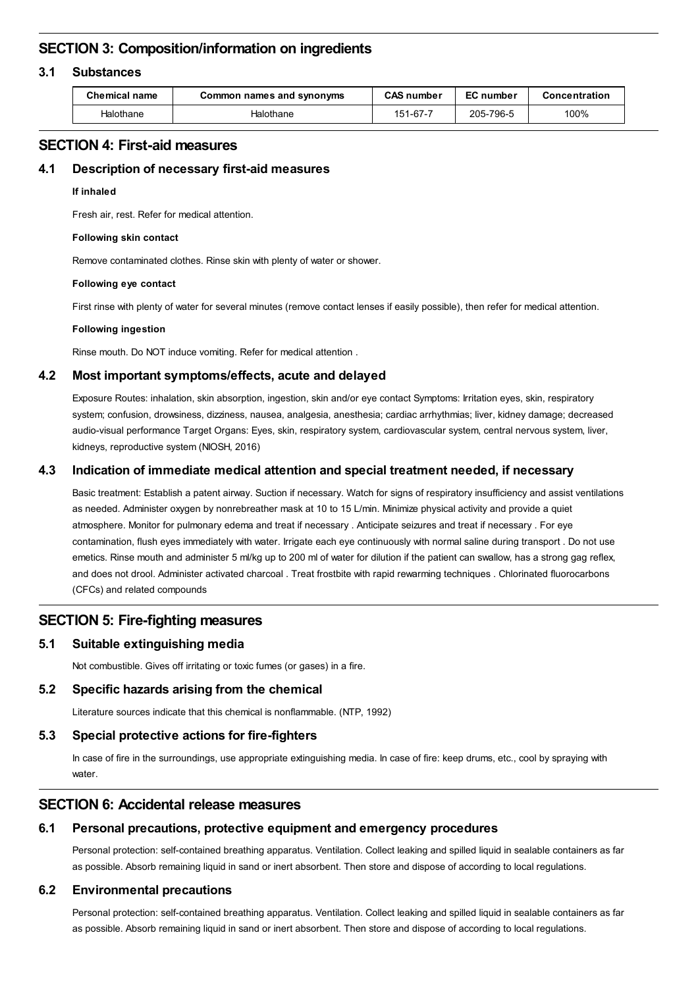# **SECTION 3: Composition/information on ingredients**

#### **3.1 Substances**

| <b>Chemical name</b> | Common names and synonyms | <b>CAS number</b> | <b>EC</b> number | Concentration |
|----------------------|---------------------------|-------------------|------------------|---------------|
| Halothane            | Halothane                 | 151-67-7          | 205-796-5        | 100%          |

# **SECTION 4: First-aid measures**

#### **4.1 Description of necessary first-aid measures**

#### **If inhaled**

Fresh air, rest. Refer for medical attention.

#### **Following skin contact**

Remove contaminated clothes. Rinse skin with plenty of water or shower.

#### **Following eye contact**

First rinse with plenty of water for several minutes (remove contact lenses if easily possible), then refer for medical attention.

#### **Following ingestion**

Rinse mouth. Do NOT induce vomiting. Refer for medical attention .

#### **4.2 Most important symptoms/effects, acute and delayed**

Exposure Routes: inhalation, skin absorption, ingestion, skin and/or eye contact Symptoms: Irritation eyes, skin, respiratory system; confusion, drowsiness, dizziness, nausea, analgesia, anesthesia; cardiac arrhythmias; liver, kidney damage; decreased audio-visual performance Target Organs: Eyes, skin, respiratory system, cardiovascular system, central nervous system, liver, kidneys, reproductive system (NIOSH, 2016)

#### **4.3 Indication of immediate medical attention and special treatment needed, if necessary**

Basic treatment: Establish a patent airway. Suction if necessary. Watch for signs of respiratory insufficiency and assist ventilations as needed. Administer oxygen by nonrebreather mask at 10 to 15 L/min. Minimize physical activity and provide a quiet atmosphere. Monitor for pulmonary edema and treat if necessary . Anticipate seizures and treat if necessary . For eye contamination, flush eyes immediately with water. Irrigate each eye continuously with normal saline during transport . Do not use emetics. Rinse mouth and administer 5 ml/kg up to 200 ml of water for dilution if the patient can swallow, has a strong gag reflex, and does not drool. Administer activated charcoal . Treat frostbite with rapid rewarming techniques . Chlorinated fluorocarbons (CFCs) and related compounds

# **SECTION 5: Fire-fighting measures**

#### **5.1 Suitable extinguishing media**

Not combustible. Gives off irritating or toxic fumes (or gases) in a fire.

#### **5.2 Specific hazards arising from the chemical**

Literature sources indicate that this chemical is nonflammable. (NTP, 1992)

#### **5.3 Special protective actions for fire-fighters**

In case of fire in the surroundings, use appropriate extinguishing media. In case of fire: keep drums, etc., cool by spraying with water.

# **SECTION 6: Accidental release measures**

#### **6.1 Personal precautions, protective equipment and emergency procedures**

Personal protection: self-contained breathing apparatus. Ventilation. Collect leaking and spilled liquid in sealable containers as far as possible. Absorb remaining liquid in sand or inert absorbent. Then store and dispose of according to local regulations.

#### **6.2 Environmental precautions**

Personal protection: self-contained breathing apparatus. Ventilation. Collect leaking and spilled liquid in sealable containers as far as possible. Absorb remaining liquid in sand or inert absorbent. Then store and dispose of according to local regulations.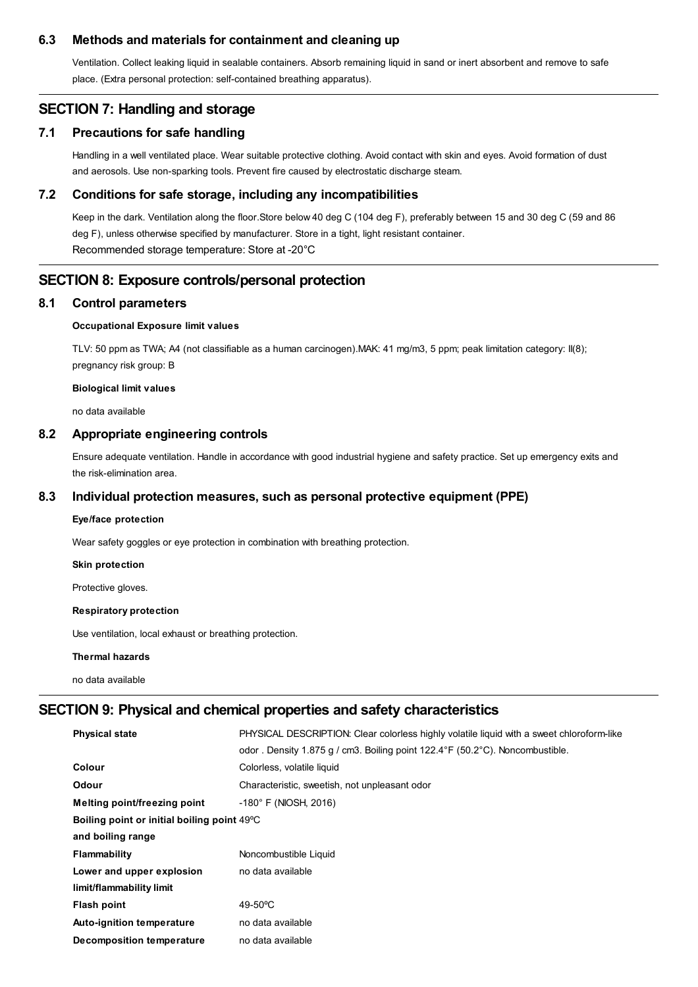#### **6.3 Methods and materials for containment and cleaning up**

Ventilation. Collect leaking liquid in sealable containers. Absorb remaining liquid in sand or inert absorbent and remove to safe place. (Extra personal protection: self-contained breathing apparatus).

# **SECTION 7: Handling and storage**

#### **7.1 Precautions for safe handling**

Handling in a well ventilated place. Wear suitable protective clothing. Avoid contact with skin and eyes. Avoid formation of dust and aerosols. Use non-sparking tools. Prevent fire caused by electrostatic discharge steam.

#### **7.2 Conditions for safe storage, including any incompatibilities**

Keep in the dark. Ventilation along the floor.Store below 40 deg C (104 deg F), preferably between 15 and 30 deg C (59 and 86 deg F), unless otherwise specified by manufacturer. Store in a tight, light resistant container. Recommended storage temperature: Store at -20°C

# **SECTION 8: Exposure controls/personal protection**

#### **8.1 Control parameters**

### **Occupational Exposure limit values**

TLV: 50 ppm as TWA; A4 (not classifiable as a human carcinogen).MAK: 41 mg/m3, 5 ppm; peak limitation category: II(8); pregnancy risk group: B

#### **Biological limit values**

no data available

#### **8.2 Appropriate engineering controls**

Ensure adequate ventilation. Handle in accordance with good industrial hygiene and safety practice. Set up emergency exits and the risk-elimination area.

#### **8.3 Individual protection measures, such as personal protective equipment (PPE)**

### **Eye/face protection**

Wear safety goggles or eye protection in combination with breathing protection.

#### **Skin protection**

Protective gloves.

### **Respiratory protection**

Use ventilation, local exhaust or breathing protection.

#### **Thermal hazards**

no data available

# **SECTION 9: Physical and chemical properties and safety characteristics**

| <b>Physical state</b>                       | PHYSICAL DESCRIPTION: Clear colorless highly volatile liguid with a sweet chloroform-like<br>odor . Density 1.875 g / cm3. Boiling point 122.4°F (50.2°C). Noncombustible. |  |  |
|---------------------------------------------|----------------------------------------------------------------------------------------------------------------------------------------------------------------------------|--|--|
| <b>Colour</b>                               | Colorless, volatile liquid                                                                                                                                                 |  |  |
| <b>Odour</b>                                | Characteristic, sweetish, not unpleasant odor                                                                                                                              |  |  |
| Melting point/freezing point                | $-180^{\circ}$ F (NIOSH, 2016)                                                                                                                                             |  |  |
| Boiling point or initial boiling point 49°C |                                                                                                                                                                            |  |  |
| and boiling range                           |                                                                                                                                                                            |  |  |
| Flammability                                | Noncombustible Liquid                                                                                                                                                      |  |  |
| Lower and upper explosion                   | no data available                                                                                                                                                          |  |  |
| limit/flammability limit                    |                                                                                                                                                                            |  |  |
| Flash point                                 | $49-50$ °C                                                                                                                                                                 |  |  |
| Auto-ignition temperature                   | no data available                                                                                                                                                          |  |  |
| Decomposition temperature                   | no data available                                                                                                                                                          |  |  |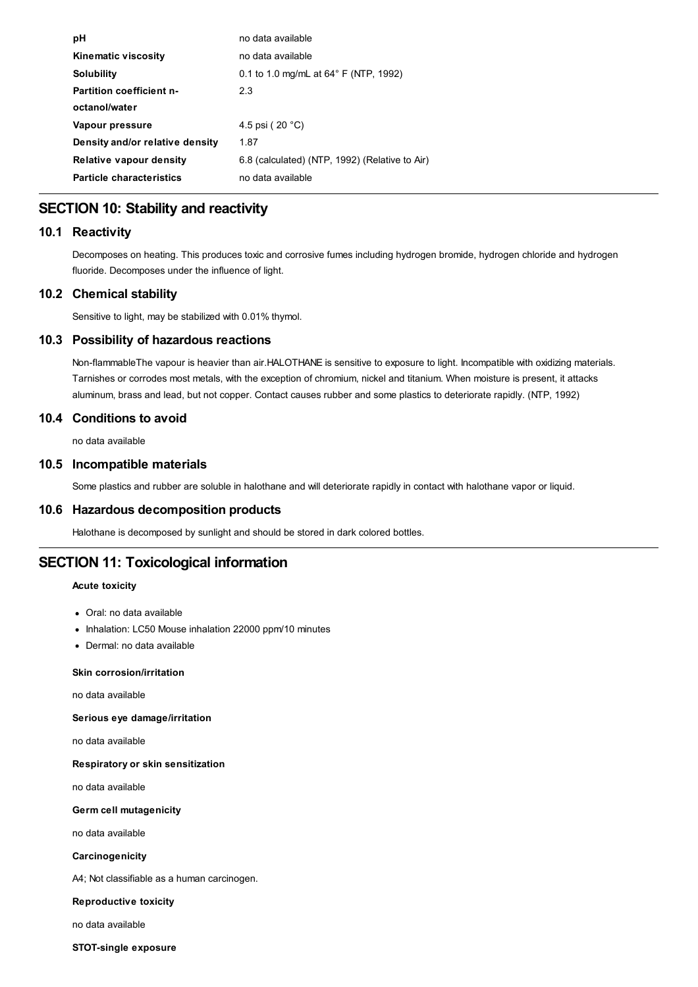| рH                              | no data available                              |
|---------------------------------|------------------------------------------------|
| <b>Kinematic viscosity</b>      | no data available                              |
| Solubility                      | 0.1 to 1.0 mg/mL at $64^{\circ}$ F (NTP, 1992) |
| <b>Partition coefficient n-</b> | 2.3                                            |
| octanol/water                   |                                                |
| Vapour pressure                 | 4.5 psi ( $20 °C$ )                            |
| Density and/or relative density | 1.87                                           |
| Relative vapour density         | 6.8 (calculated) (NTP, 1992) (Relative to Air) |
| <b>Particle characteristics</b> | no data available                              |
|                                 |                                                |

# **SECTION 10: Stability and reactivity**

# **10.1 Reactivity**

Decomposes on heating. This produces toxic and corrosive fumes including hydrogen bromide, hydrogen chloride and hydrogen fluoride. Decomposes under the influence of light.

# **10.2 Chemical stability**

Sensitive to light, may be stabilized with 0.01% thymol.

# **10.3 Possibility of hazardous reactions**

Non-flammableThe vapour is heavier than air.HALOTHANE is sensitive to exposure to light. Incompatible with oxidizing materials. Tarnishes or corrodes most metals, with the exception of chromium, nickel and titanium. When moisture is present, it attacks aluminum, brass and lead, but not copper. Contact causes rubber and some plastics to deteriorate rapidly. (NTP, 1992)

# **10.4 Conditions to avoid**

no data available

# **10.5 Incompatible materials**

Some plastics and rubber are soluble in halothane and will deteriorate rapidly in contact with halothane vapor or liquid.

# **10.6 Hazardous decomposition products**

Halothane is decomposed by sunlight and should be stored in dark colored bottles.

# **SECTION 11: Toxicological information**

# **Acute toxicity**

- Oral: no data available
- Inhalation: LC50 Mouse inhalation 22000 ppm/10 minutes
- Dermal: no data available

### **Skin corrosion/irritation**

no data available

**Serious eye damage/irritation**

no data available

**Respiratory or skin sensitization**

no data available

**Germ cell mutagenicity**

no data available

**Carcinogenicity**

A4; Not classifiable as a human carcinogen.

#### **Reproductive toxicity**

no data available

**STOT-single exposure**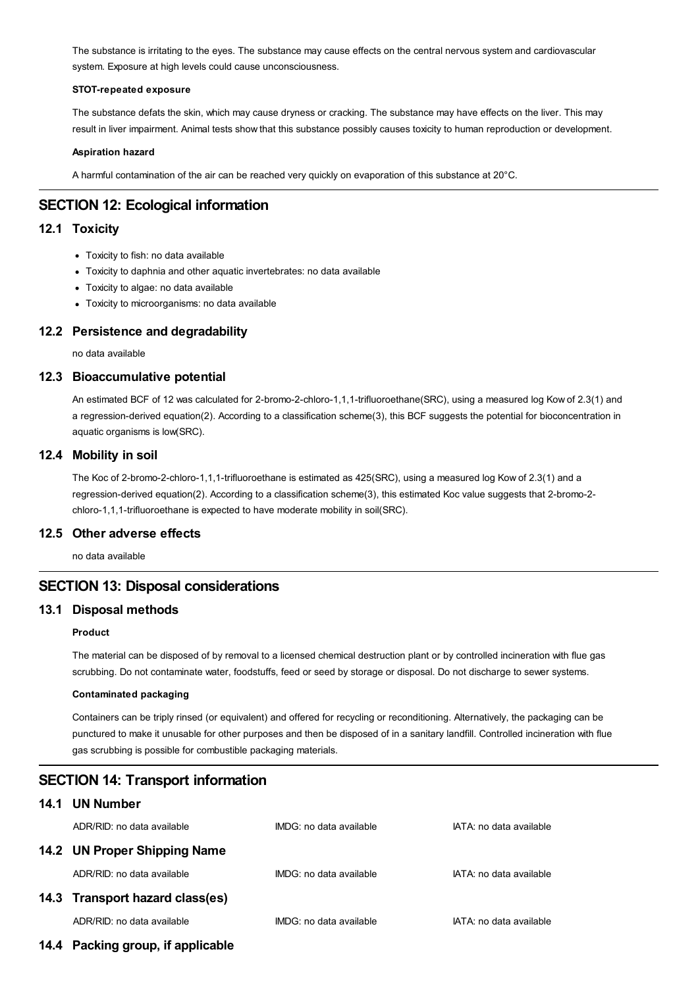The substance is irritating to the eyes. The substance may cause effects on the central nervous system and cardiovascular system. Exposure at high levels could cause unconsciousness.

#### **STOT-repeated exposure**

The substance defats the skin, which may cause dryness or cracking. The substance may have effects on the liver. This may result in liver impairment. Animal tests show that this substance possibly causes toxicity to human reproduction or development.

#### **Aspiration hazard**

A harmful contamination of the air can be reached very quickly on evaporation of this substance at 20°C.

# **SECTION 12: Ecological information**

# **12.1 Toxicity**

- Toxicity to fish: no data available
- Toxicity to daphnia and other aquatic invertebrates: no data available
- Toxicity to algae: no data available
- Toxicity to microorganisms: no data available

# **12.2 Persistence and degradability**

no data available

# **12.3 Bioaccumulative potential**

An estimated BCF of 12 was calculated for 2-bromo-2-chloro-1,1,1-trifluoroethane(SRC), using a measured log Kow of 2.3(1) and a regression-derived equation(2). According to a classification scheme(3), this BCF suggests the potential for bioconcentration in aquatic organisms is low(SRC).

# **12.4 Mobility in soil**

The Koc of 2-bromo-2-chloro-1,1,1-trifluoroethane is estimated as 425(SRC), using a measured log Kow of 2.3(1) and a regression-derived equation(2). According to a classification scheme(3), this estimated Koc value suggests that 2-bromo-2 chloro-1,1,1-trifluoroethane is expected to have moderate mobility in soil(SRC).

# **12.5 Other adverse effects**

no data available

# **SECTION 13: Disposal considerations**

# **13.1 Disposal methods**

#### **Product**

The material can be disposed of by removal to a licensed chemical destruction plant or by controlled incineration with flue gas scrubbing. Do not contaminate water, foodstuffs, feed or seed by storage or disposal. Do not discharge to sewer systems.

#### **Contaminated packaging**

Containers can be triply rinsed (or equivalent) and offered for recycling or reconditioning. Alternatively, the packaging can be punctured to make it unusable for other purposes and then be disposed of in a sanitary landfill. Controlled incineration with flue gas scrubbing is possible for combustible packaging materials.

# **SECTION 14: Transport information**

# **14.1 UN Number**

| ADR/RID: no data available      | IMDG: no data available | IATA: no data available |
|---------------------------------|-------------------------|-------------------------|
| 14.2 UN Proper Shipping Name    |                         |                         |
| ADR/RID: no data available      | IMDG: no data available | IATA: no data available |
| 14.3 Transport hazard class(es) |                         |                         |
| ADR/RID: no data available      | IMDG: no data available | IATA: no data available |
|                                 |                         |                         |

**14.4 Packing group, if applicable**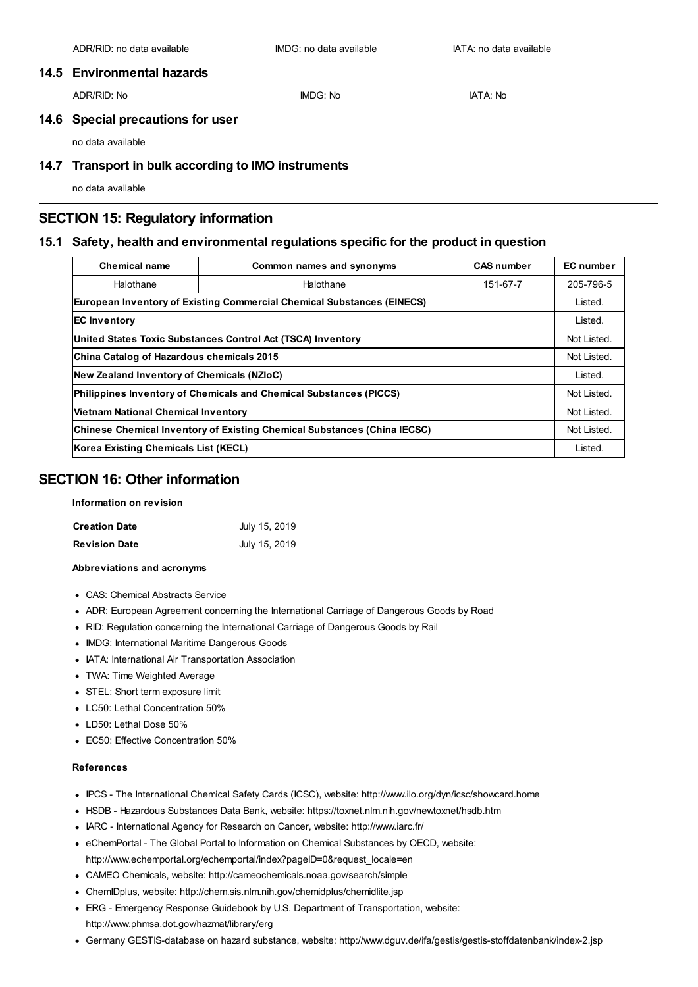# **14.5 Environmental hazards**

ADR/RID: No IMDG: No IATA: No

# **14.6 Special precautions for user**

no data available

# **14.7 Transport in bulk according to IMO instruments**

no data available

# **SECTION 15: Regulatory information**

# **15.1 Safety, health and environmental regulations specific for the product in question**

| <b>Chemical name</b>                                                            | Common names and synonyms                                                     | <b>CAS number</b> | <b>EC</b> number |
|---------------------------------------------------------------------------------|-------------------------------------------------------------------------------|-------------------|------------------|
| Halothane                                                                       | Halothane                                                                     |                   | 205-796-5        |
|                                                                                 | <b>European Inventory of Existing Commercial Chemical Substances (EINECS)</b> |                   | Listed.          |
| <b>EC Inventory</b>                                                             |                                                                               |                   | Listed.          |
| United States Toxic Substances Control Act (TSCA) Inventory                     |                                                                               |                   | Not Listed.      |
| China Catalog of Hazardous chemicals 2015                                       |                                                                               |                   | Not Listed.      |
| New Zealand Inventory of Chemicals (NZIoC)                                      |                                                                               |                   | Listed.          |
| <b>Philippines Inventory of Chemicals and Chemical Substances (PICCS)</b>       |                                                                               |                   | Not Listed.      |
| <b>Vietnam National Chemical Inventory</b>                                      |                                                                               |                   | Not Listed.      |
| <b>Chinese Chemical Inventory of Existing Chemical Substances (China IECSC)</b> |                                                                               |                   | Not Listed.      |
| Korea Existing Chemicals List (KECL)                                            |                                                                               |                   | Listed.          |

# **SECTION 16: Other information**

### **Information on revision**

| <b>Creation Date</b> | July 15, 2019 |
|----------------------|---------------|
| <b>Revision Date</b> | July 15, 2019 |

#### **Abbreviations and acronyms**

- CAS: Chemical Abstracts Service
- ADR: European Agreement concerning the International Carriage of Dangerous Goods by Road
- RID: Regulation concerning the International Carriage of Dangerous Goods by Rail
- IMDG: International Maritime Dangerous Goods
- IATA: International Air Transportation Association
- TWA: Time Weighted Average
- STEL: Short term exposure limit
- LC50: Lethal Concentration 50%
- LD50: Lethal Dose 50%
- EC50: Effective Concentration 50%

### **References**

- IPCS The International Chemical Safety Cards (ICSC), website: http://www.ilo.org/dyn/icsc/showcard.home
- HSDB Hazardous Substances Data Bank, website: https://toxnet.nlm.nih.gov/newtoxnet/hsdb.htm
- IARC International Agency for Research on Cancer, website: http://www.iarc.fr/
- eChemPortal The Global Portal to Information on Chemical Substances by OECD, website: http://www.echemportal.org/echemportal/index?pageID=0&request\_locale=en
- CAMEO Chemicals, website: http://cameochemicals.noaa.gov/search/simple
- ChemIDplus, website: http://chem.sis.nlm.nih.gov/chemidplus/chemidlite.jsp
- ERG Emergency Response Guidebook by U.S. Department of Transportation, website: http://www.phmsa.dot.gov/hazmat/library/erg
- Germany GESTIS-database on hazard substance, website: http://www.dguv.de/ifa/gestis/gestis-stoffdatenbank/index-2.jsp